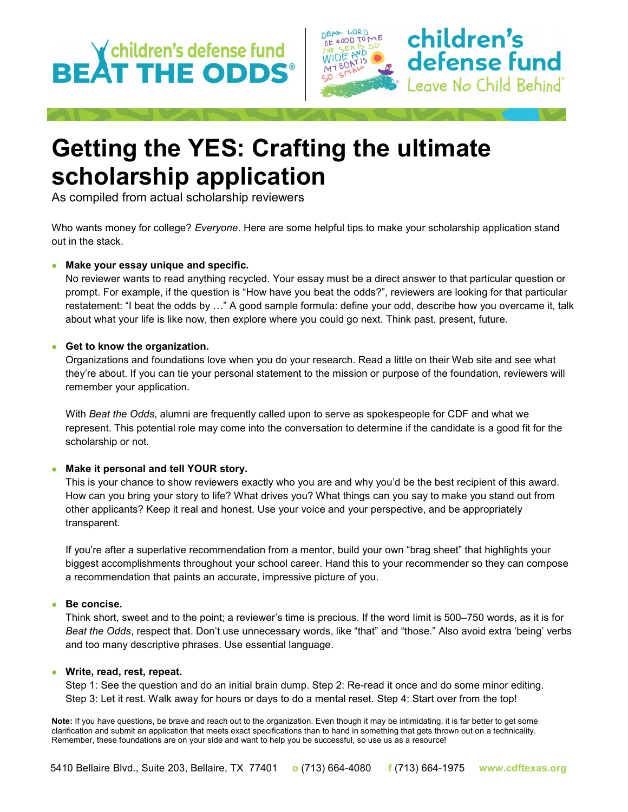# BEAT THE ODDS<sup>®</sup>



### Getting the YES: Crafting the ultimate scholarship application

As compiled from actual scholarship reviewers

Who wants money for college? Everyone. Here are some helpful tips to make your scholarship application stand out in the stack.

#### **Make your essay unique and specific.**

No reviewer wants to read anything recycled. Your essay must be a direct answer to that particular question or prompt. For example, if the question is "How have you beat the odds?", reviewers are looking for that particular restatement: "I beat the odds by …" A good sample formula: define your odd, describe how you overcame it, talk about what your life is like now, then explore where you could go next. Think past, present, future.

#### **Get to know the organization.**

Organizations and foundations love when you do your research. Read a little on their Web site and see what they're about. If you can tie your personal statement to the mission or purpose of the foundation, reviewers will remember your application.

With Beat the Odds, alumni are frequently called upon to serve as spokespeople for CDF and what we represent. This potential role may come into the conversation to determine if the candidate is a good fit for the scholarship or not.

#### **Make it personal and tell YOUR story.**

This is your chance to show reviewers exactly who you are and why you'd be the best recipient of this award. How can you bring your story to life? What drives you? What things can you say to make you stand out from other applicants? Keep it real and honest. Use your voice and your perspective, and be appropriately transparent.

If you're after a superlative recommendation from a mentor, build your own "brag sheet" that highlights your biggest accomplishments throughout your school career. Hand this to your recommender so they can compose a recommendation that paints an accurate, impressive picture of you.

#### ● Be concise.

Think short, sweet and to the point; a reviewer's time is precious. If the word limit is 500–750 words, as it is for Beat the Odds, respect that. Don't use unnecessary words, like "that" and "those." Also avoid extra 'being' verbs and too many descriptive phrases. Use essential language.

#### **Write, read, rest, repeat.**

Step 1: See the question and do an initial brain dump. Step 2: Re-read it once and do some minor editing. Step 3: Let it rest. Walk away for hours or days to do a mental reset. Step 4: Start over from the top!

Note: If you have questions, be brave and reach out to the organization. Even though it may be intimidating, it is far better to get some clarification and submit an application that meets exact specifications than to hand in something that gets thrown out on a technicality. Remember, these foundations are on your side and want to help you be successful, so use us as a resource!